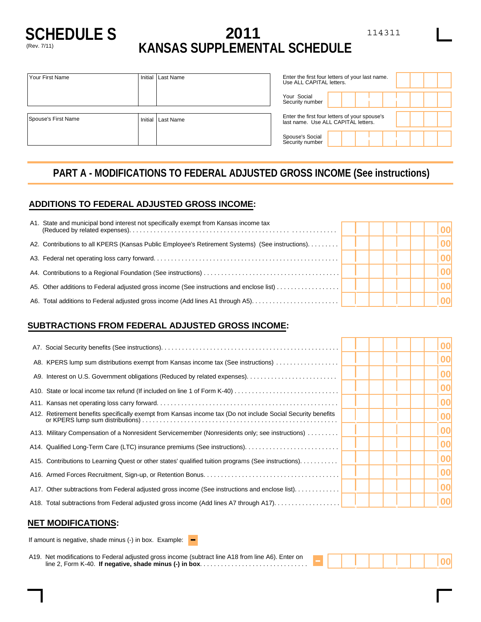

# **SCHEDULE S 2011** 114311 (Rev. 7/11) **KANSAS SUPPLEMENTAL SCHEDULE**

| Your Social<br>Security number              |                                                                                      |
|---------------------------------------------|--------------------------------------------------------------------------------------|
|                                             |                                                                                      |
| Spouse's First Name<br>Initial<br>Last Name | Enter the first four letters of your spouse's<br>last name. Use ALL CAPITAL letters. |
| Spouse's Social<br>Security number          |                                                                                      |

# **PART A - MODIFICATIONS TO FEDERAL ADJUSTED GROSS INCOME (See instructions)**

### **ADDITIONS TO FEDERAL ADJUSTED GROSS INCOME:**

|     | A1. State and municipal bond interest not specifically exempt from Kansas income tax             |  |  |
|-----|--------------------------------------------------------------------------------------------------|--|--|
|     | A2. Contributions to all KPERS (Kansas Public Employee's Retirement Systems) (See instructions). |  |  |
|     |                                                                                                  |  |  |
|     |                                                                                                  |  |  |
|     | A5. Other additions to Federal adjusted gross income (See instructions and enclose list)         |  |  |
| A6. |                                                                                                  |  |  |

### **SUBTRACTIONS FROM FEDERAL ADJUSTED GROSS INCOME:**

|                                                                                                              |  | 00 |
|--------------------------------------------------------------------------------------------------------------|--|----|
| A8. KPERS lump sum distributions exempt from Kansas income tax (See instructions)                            |  | 00 |
|                                                                                                              |  | 00 |
|                                                                                                              |  | 00 |
|                                                                                                              |  | 00 |
| A12. Retirement benefits specifically exempt from Kansas income tax (Do not include Social Security benefits |  | 00 |
| A13. Military Compensation of a Nonresident Servicemember (Nonresidents only; see instructions)              |  | 00 |
|                                                                                                              |  | 00 |
| A15. Contributions to Learning Quest or other states' qualified tuition programs (See instructions).         |  | 00 |
|                                                                                                              |  | 00 |
| A17. Other subtractions from Federal adjusted gross income (See instructions and enclose list).              |  | 00 |
| A18. Total subtractions from Federal adjusted gross income (Add lines A7 through A17)                        |  | 00 |
|                                                                                                              |  |    |

#### **NET MODIFICATIONS:**

| If amount is negative, shade minus (-) in box. Example: $\blacksquare$ |  |
|------------------------------------------------------------------------|--|
|                                                                        |  |

A19. Net modifications to Federal adjusted gross income (subtract line A18 from line A6). Enter on line 2, Form K-40. **If negative, shade minus (-) in box**............................... - **<sup>00</sup>**

,, .